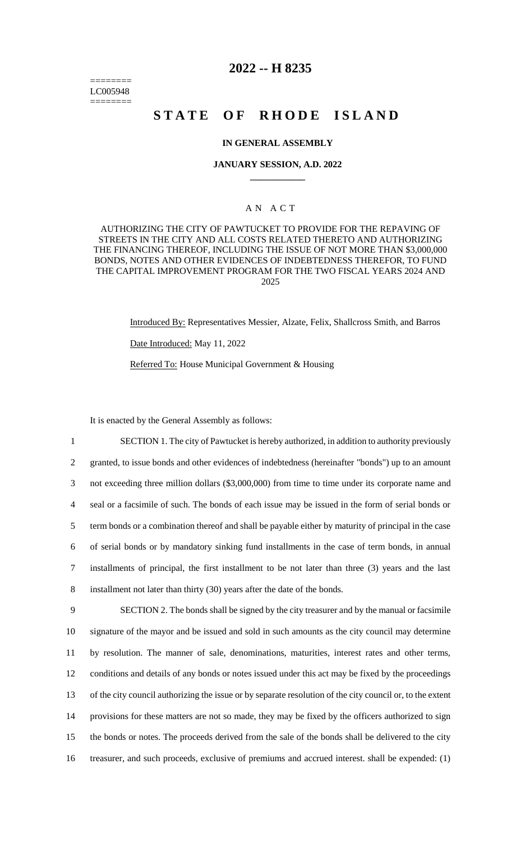======== LC005948 ========

## **2022 -- H 8235**

# **STATE OF RHODE ISLAND**

### **IN GENERAL ASSEMBLY**

#### **JANUARY SESSION, A.D. 2022 \_\_\_\_\_\_\_\_\_\_\_\_**

## A N A C T

AUTHORIZING THE CITY OF PAWTUCKET TO PROVIDE FOR THE REPAVING OF STREETS IN THE CITY AND ALL COSTS RELATED THERETO AND AUTHORIZING THE FINANCING THEREOF, INCLUDING THE ISSUE OF NOT MORE THAN \$3,000,000 BONDS, NOTES AND OTHER EVIDENCES OF INDEBTEDNESS THEREFOR, TO FUND THE CAPITAL IMPROVEMENT PROGRAM FOR THE TWO FISCAL YEARS 2024 AND 2025

> Introduced By: Representatives Messier, Alzate, Felix, Shallcross Smith, and Barros Date Introduced: May 11, 2022 Referred To: House Municipal Government & Housing

It is enacted by the General Assembly as follows:

 SECTION 1. The city of Pawtucket is hereby authorized, in addition to authority previously granted, to issue bonds and other evidences of indebtedness (hereinafter "bonds") up to an amount not exceeding three million dollars (\$3,000,000) from time to time under its corporate name and seal or a facsimile of such. The bonds of each issue may be issued in the form of serial bonds or term bonds or a combination thereof and shall be payable either by maturity of principal in the case of serial bonds or by mandatory sinking fund installments in the case of term bonds, in annual installments of principal, the first installment to be not later than three (3) years and the last installment not later than thirty (30) years after the date of the bonds. SECTION 2. The bonds shall be signed by the city treasurer and by the manual or facsimile signature of the mayor and be issued and sold in such amounts as the city council may determine by resolution. The manner of sale, denominations, maturities, interest rates and other terms, conditions and details of any bonds or notes issued under this act may be fixed by the proceedings of the city council authorizing the issue or by separate resolution of the city council or, to the extent

14 provisions for these matters are not so made, they may be fixed by the officers authorized to sign 15 the bonds or notes. The proceeds derived from the sale of the bonds shall be delivered to the city 16 treasurer, and such proceeds, exclusive of premiums and accrued interest. shall be expended: (1)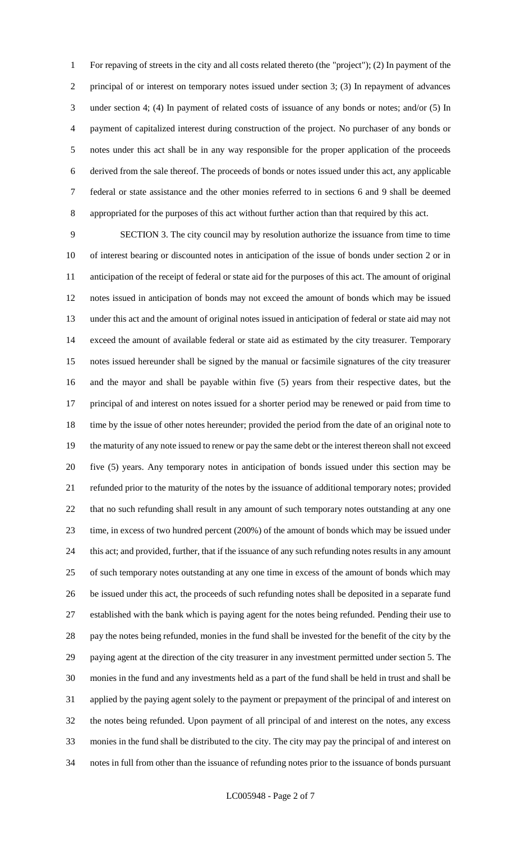For repaving of streets in the city and all costs related thereto (the "project"); (2) In payment of the 2 principal of or interest on temporary notes issued under section 3; (3) In repayment of advances under section 4; (4) In payment of related costs of issuance of any bonds or notes; and/or (5) In payment of capitalized interest during construction of the project. No purchaser of any bonds or notes under this act shall be in any way responsible for the proper application of the proceeds derived from the sale thereof. The proceeds of bonds or notes issued under this act, any applicable federal or state assistance and the other monies referred to in sections 6 and 9 shall be deemed appropriated for the purposes of this act without further action than that required by this act.

 SECTION 3. The city council may by resolution authorize the issuance from time to time of interest bearing or discounted notes in anticipation of the issue of bonds under section 2 or in anticipation of the receipt of federal or state aid for the purposes of this act. The amount of original notes issued in anticipation of bonds may not exceed the amount of bonds which may be issued under this act and the amount of original notes issued in anticipation of federal or state aid may not exceed the amount of available federal or state aid as estimated by the city treasurer. Temporary notes issued hereunder shall be signed by the manual or facsimile signatures of the city treasurer and the mayor and shall be payable within five (5) years from their respective dates, but the principal of and interest on notes issued for a shorter period may be renewed or paid from time to time by the issue of other notes hereunder; provided the period from the date of an original note to the maturity of any note issued to renew or pay the same debt or the interest thereon shall not exceed five (5) years. Any temporary notes in anticipation of bonds issued under this section may be refunded prior to the maturity of the notes by the issuance of additional temporary notes; provided that no such refunding shall result in any amount of such temporary notes outstanding at any one time, in excess of two hundred percent (200%) of the amount of bonds which may be issued under this act; and provided, further, that if the issuance of any such refunding notes results in any amount of such temporary notes outstanding at any one time in excess of the amount of bonds which may be issued under this act, the proceeds of such refunding notes shall be deposited in a separate fund established with the bank which is paying agent for the notes being refunded. Pending their use to pay the notes being refunded, monies in the fund shall be invested for the benefit of the city by the paying agent at the direction of the city treasurer in any investment permitted under section 5. The monies in the fund and any investments held as a part of the fund shall be held in trust and shall be applied by the paying agent solely to the payment or prepayment of the principal of and interest on the notes being refunded. Upon payment of all principal of and interest on the notes, any excess monies in the fund shall be distributed to the city. The city may pay the principal of and interest on notes in full from other than the issuance of refunding notes prior to the issuance of bonds pursuant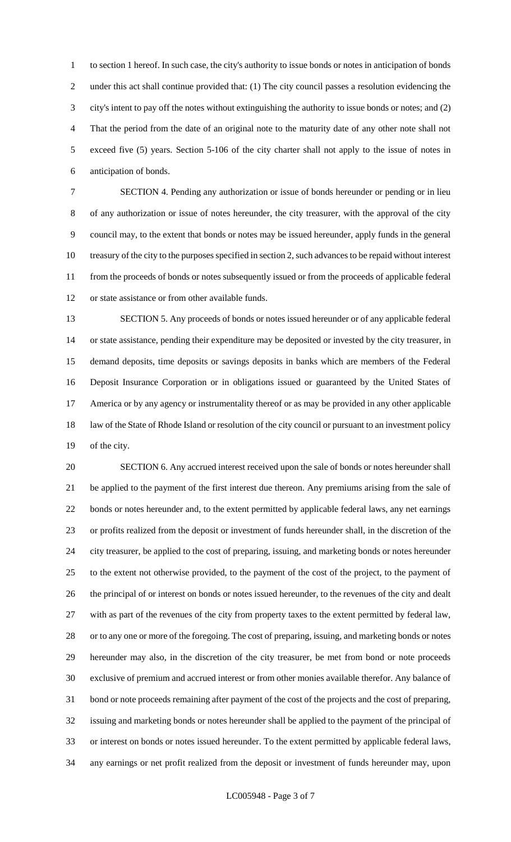to section 1 hereof. In such case, the city's authority to issue bonds or notes in anticipation of bonds under this act shall continue provided that: (1) The city council passes a resolution evidencing the city's intent to pay off the notes without extinguishing the authority to issue bonds or notes; and (2) That the period from the date of an original note to the maturity date of any other note shall not exceed five (5) years. Section 5-106 of the city charter shall not apply to the issue of notes in anticipation of bonds.

 SECTION 4. Pending any authorization or issue of bonds hereunder or pending or in lieu of any authorization or issue of notes hereunder, the city treasurer, with the approval of the city council may, to the extent that bonds or notes may be issued hereunder, apply funds in the general treasury of the city to the purposes specified in section 2, such advances to be repaid without interest from the proceeds of bonds or notes subsequently issued or from the proceeds of applicable federal or state assistance or from other available funds.

 SECTION 5. Any proceeds of bonds or notes issued hereunder or of any applicable federal or state assistance, pending their expenditure may be deposited or invested by the city treasurer, in demand deposits, time deposits or savings deposits in banks which are members of the Federal Deposit Insurance Corporation or in obligations issued or guaranteed by the United States of America or by any agency or instrumentality thereof or as may be provided in any other applicable 18 law of the State of Rhode Island or resolution of the city council or pursuant to an investment policy of the city.

 SECTION 6. Any accrued interest received upon the sale of bonds or notes hereunder shall be applied to the payment of the first interest due thereon. Any premiums arising from the sale of bonds or notes hereunder and, to the extent permitted by applicable federal laws, any net earnings or profits realized from the deposit or investment of funds hereunder shall, in the discretion of the city treasurer, be applied to the cost of preparing, issuing, and marketing bonds or notes hereunder to the extent not otherwise provided, to the payment of the cost of the project, to the payment of the principal of or interest on bonds or notes issued hereunder, to the revenues of the city and dealt with as part of the revenues of the city from property taxes to the extent permitted by federal law, or to any one or more of the foregoing. The cost of preparing, issuing, and marketing bonds or notes hereunder may also, in the discretion of the city treasurer, be met from bond or note proceeds exclusive of premium and accrued interest or from other monies available therefor. Any balance of bond or note proceeds remaining after payment of the cost of the projects and the cost of preparing, issuing and marketing bonds or notes hereunder shall be applied to the payment of the principal of or interest on bonds or notes issued hereunder. To the extent permitted by applicable federal laws, any earnings or net profit realized from the deposit or investment of funds hereunder may, upon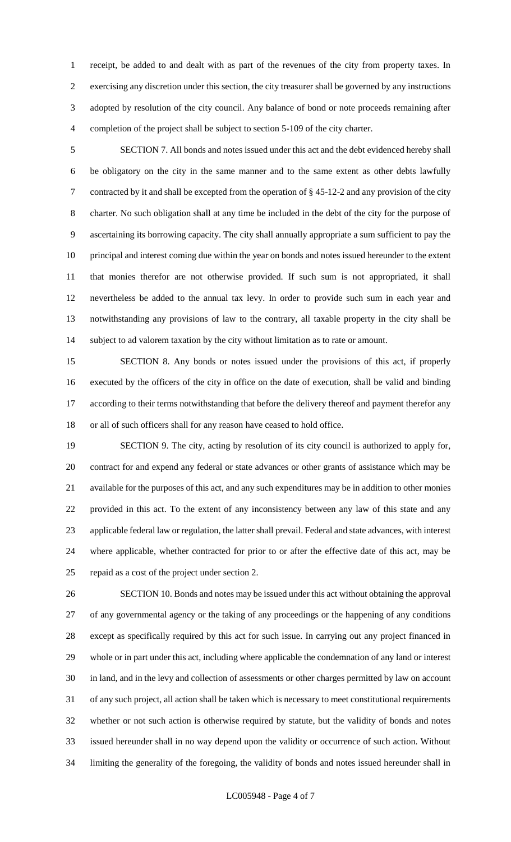receipt, be added to and dealt with as part of the revenues of the city from property taxes. In exercising any discretion under this section, the city treasurer shall be governed by any instructions adopted by resolution of the city council. Any balance of bond or note proceeds remaining after completion of the project shall be subject to section 5-109 of the city charter.

 SECTION 7. All bonds and notes issued under this act and the debt evidenced hereby shall be obligatory on the city in the same manner and to the same extent as other debts lawfully contracted by it and shall be excepted from the operation of § 45-12-2 and any provision of the city charter. No such obligation shall at any time be included in the debt of the city for the purpose of ascertaining its borrowing capacity. The city shall annually appropriate a sum sufficient to pay the principal and interest coming due within the year on bonds and notes issued hereunder to the extent that monies therefor are not otherwise provided. If such sum is not appropriated, it shall nevertheless be added to the annual tax levy. In order to provide such sum in each year and notwithstanding any provisions of law to the contrary, all taxable property in the city shall be subject to ad valorem taxation by the city without limitation as to rate or amount.

 SECTION 8. Any bonds or notes issued under the provisions of this act, if properly executed by the officers of the city in office on the date of execution, shall be valid and binding according to their terms notwithstanding that before the delivery thereof and payment therefor any or all of such officers shall for any reason have ceased to hold office.

 SECTION 9. The city, acting by resolution of its city council is authorized to apply for, contract for and expend any federal or state advances or other grants of assistance which may be available for the purposes of this act, and any such expenditures may be in addition to other monies provided in this act. To the extent of any inconsistency between any law of this state and any applicable federal law or regulation, the latter shall prevail. Federal and state advances, with interest where applicable, whether contracted for prior to or after the effective date of this act, may be repaid as a cost of the project under section 2.

 SECTION 10. Bonds and notes may be issued under this act without obtaining the approval of any governmental agency or the taking of any proceedings or the happening of any conditions except as specifically required by this act for such issue. In carrying out any project financed in whole or in part under this act, including where applicable the condemnation of any land or interest in land, and in the levy and collection of assessments or other charges permitted by law on account of any such project, all action shall be taken which is necessary to meet constitutional requirements whether or not such action is otherwise required by statute, but the validity of bonds and notes issued hereunder shall in no way depend upon the validity or occurrence of such action. Without limiting the generality of the foregoing, the validity of bonds and notes issued hereunder shall in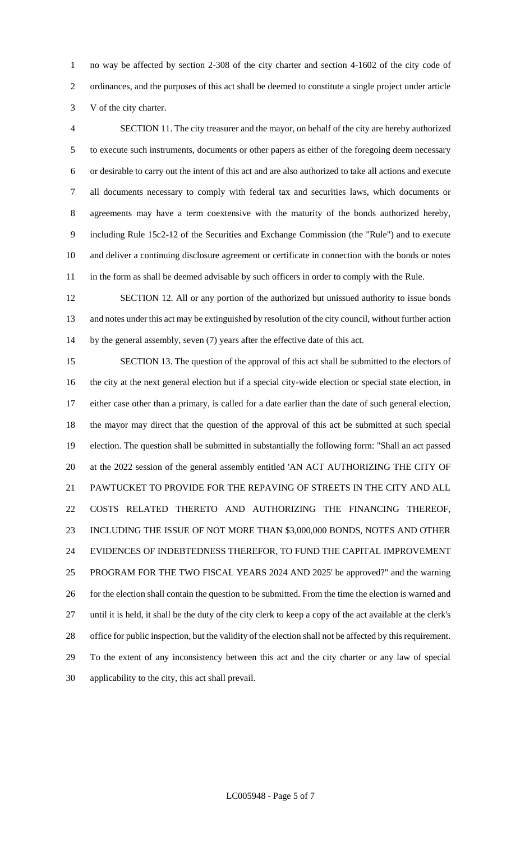no way be affected by section 2-308 of the city charter and section 4-1602 of the city code of ordinances, and the purposes of this act shall be deemed to constitute a single project under article V of the city charter.

 SECTION 11. The city treasurer and the mayor, on behalf of the city are hereby authorized to execute such instruments, documents or other papers as either of the foregoing deem necessary or desirable to carry out the intent of this act and are also authorized to take all actions and execute all documents necessary to comply with federal tax and securities laws, which documents or agreements may have a term coextensive with the maturity of the bonds authorized hereby, including Rule 15c2-12 of the Securities and Exchange Commission (the "Rule") and to execute and deliver a continuing disclosure agreement or certificate in connection with the bonds or notes 11 in the form as shall be deemed advisable by such officers in order to comply with the Rule.

 SECTION 12. All or any portion of the authorized but unissued authority to issue bonds and notes under this act may be extinguished by resolution of the city council, without further action by the general assembly, seven (7) years after the effective date of this act.

 SECTION 13. The question of the approval of this act shall be submitted to the electors of the city at the next general election but if a special city-wide election or special state election, in either case other than a primary, is called for a date earlier than the date of such general election, the mayor may direct that the question of the approval of this act be submitted at such special election. The question shall be submitted in substantially the following form: "Shall an act passed at the 2022 session of the general assembly entitled 'AN ACT AUTHORIZING THE CITY OF PAWTUCKET TO PROVIDE FOR THE REPAVING OF STREETS IN THE CITY AND ALL COSTS RELATED THERETO AND AUTHORIZING THE FINANCING THEREOF, INCLUDING THE ISSUE OF NOT MORE THAN \$3,000,000 BONDS, NOTES AND OTHER EVIDENCES OF INDEBTEDNESS THEREFOR, TO FUND THE CAPITAL IMPROVEMENT PROGRAM FOR THE TWO FISCAL YEARS 2024 AND 2025' be approved?" and the warning 26 for the election shall contain the question to be submitted. From the time the election is warned and until it is held, it shall be the duty of the city clerk to keep a copy of the act available at the clerk's office for public inspection, but the validity of the election shall not be affected by this requirement. To the extent of any inconsistency between this act and the city charter or any law of special applicability to the city, this act shall prevail.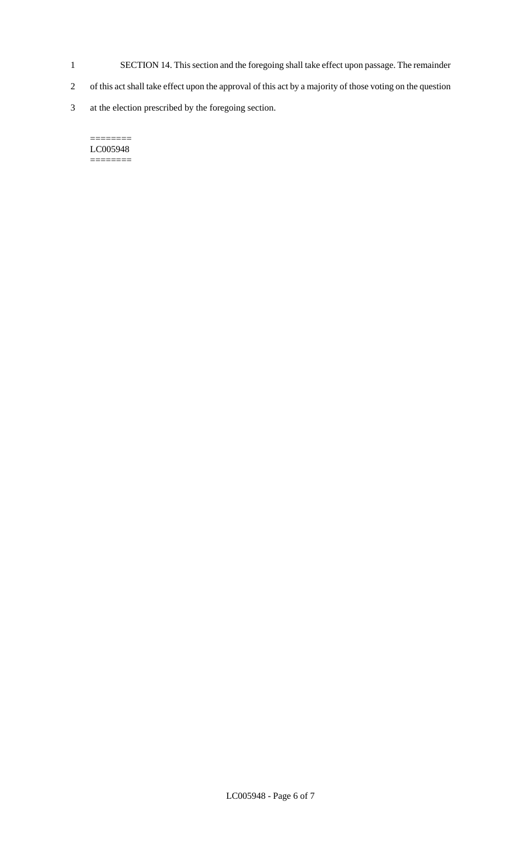- 1 SECTION 14. This section and the foregoing shall take effect upon passage. The remainder
- 2 of this act shall take effect upon the approval of this act by a majority of those voting on the question
- 3 at the election prescribed by the foregoing section.

#### $=$ LC005948 ========